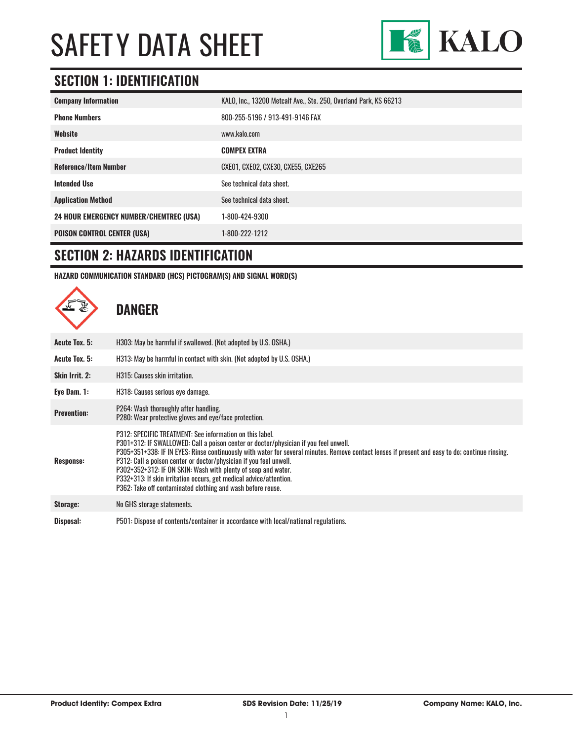

## **SECTION 1: IDENTIFICATION**

| <b>Company Information</b>                     | KALO, Inc., 13200 Metcalf Ave., Ste. 250, Overland Park, KS 66213 |
|------------------------------------------------|-------------------------------------------------------------------|
| <b>Phone Numbers</b>                           | 800-255-5196 / 913-491-9146 FAX                                   |
| Website                                        | www.kalo.com                                                      |
| <b>Product Identity</b>                        | <b>COMPEX EXTRA</b>                                               |
| <b>Reference/Item Number</b>                   | CXE01, CXE02, CXE30, CXE55, CXE265                                |
| <b>Intended Use</b>                            | See technical data sheet.                                         |
| <b>Application Method</b>                      | See technical data sheet.                                         |
| <b>24 HOUR EMERGENCY NUMBER/CHEMTREC (USA)</b> | 1-800-424-9300                                                    |
| <b>POISON CONTROL CENTER (USA)</b>             | 1-800-222-1212                                                    |

### **SECTION 2: HAZARDS IDENTIFICATION**

**HAZARD COMMUNICATION STANDARD (HCS) PICTOGRAM(S) AND SIGNAL WORD(S)**

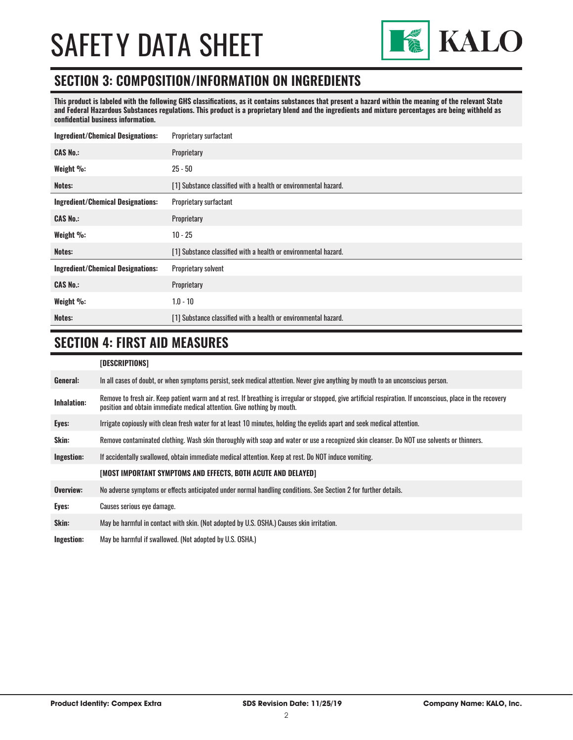

### **SECTION 3: COMPOSITION/INFORMATION ON INGREDIENTS**

**This product is labeled with the following GHS classifications, as it contains substances that present a hazard within the meaning of the relevant State and Federal Hazardous Substances regulations. This product is a proprietary blend and the ingredients and mixture percentages are being withheld as confidential business information.**

| <b>Ingredient/Chemical Designations:</b> | Proprietary surfactant                                          |  |
|------------------------------------------|-----------------------------------------------------------------|--|
| <b>CAS No.:</b>                          | Proprietary                                                     |  |
| Weight %:                                | $25 - 50$                                                       |  |
| Notes:                                   | [1] Substance classified with a health or environmental hazard. |  |
| <b>Ingredient/Chemical Designations:</b> | Proprietary surfactant                                          |  |
| <b>CAS No.:</b>                          | Proprietary                                                     |  |
| Weight %:                                | $10 - 25$                                                       |  |
| Notes:                                   | [1] Substance classified with a health or environmental hazard. |  |
| <b>Ingredient/Chemical Designations:</b> | Proprietary solvent                                             |  |
| <b>CAS No.:</b>                          | Proprietary                                                     |  |
| Weight %:                                | $1.0 - 10$                                                      |  |
| Notes:                                   | [1] Substance classified with a health or environmental hazard. |  |

## **SECTION 4: FIRST AID MEASURES**

#### **[DESCRIPTIONS]**

| General:    | In all cases of doubt, or when symptoms persist, seek medical attention. Never give anything by mouth to an unconscious person.                                                                                                         |
|-------------|-----------------------------------------------------------------------------------------------------------------------------------------------------------------------------------------------------------------------------------------|
| Inhalation: | Remove to fresh air. Keep patient warm and at rest. If breathing is irregular or stopped, give artificial respiration. If unconscious, place in the recovery<br>position and obtain immediate medical attention. Give nothing by mouth. |
| Eyes:       | Irrigate copiously with clean fresh water for at least 10 minutes, holding the eyelids apart and seek medical attention.                                                                                                                |
| Skin:       | Remove contaminated clothing. Wash skin thoroughly with soap and water or use a recognized skin cleanser. Do NOT use solvents or thinners.                                                                                              |
| Ingestion:  | If accidentally swallowed, obtain immediate medical attention. Keep at rest, Do NOT induce vomiting.                                                                                                                                    |
|             | [MOST IMPORTANT SYMPTOMS AND EFFECTS, BOTH ACUTE AND DELAYED]                                                                                                                                                                           |
| Overview:   | No adverse symptoms or effects anticipated under normal handling conditions. See Section 2 for further details.                                                                                                                         |
| Eyes:       | Causes serious eye damage.                                                                                                                                                                                                              |
| Skin:       | May be harmful in contact with skin. (Not adopted by U.S. OSHA.) Causes skin irritation.                                                                                                                                                |
| Ingestion:  | May be harmful if swallowed. (Not adopted by U.S. OSHA.)                                                                                                                                                                                |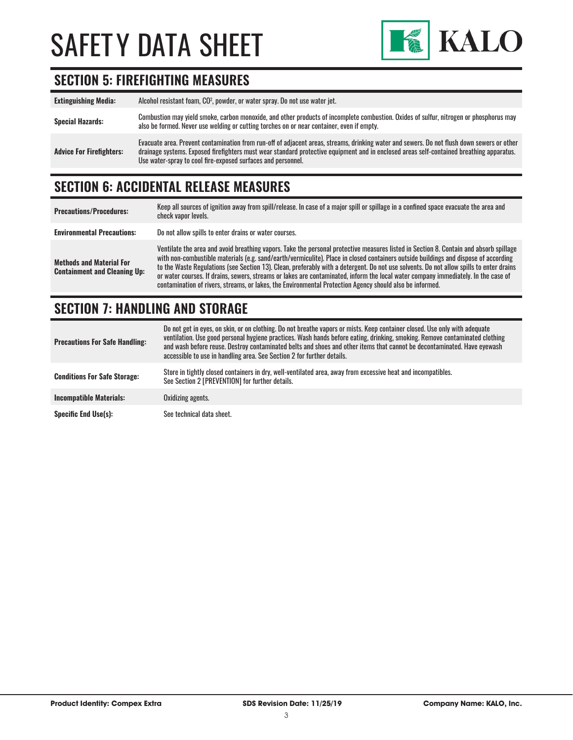

## **SECTION 5: FIREFIGHTING MEASURES**

| <b>Extinguishing Media:</b>     | Alcohol resistant foam, CO <sup>2</sup> , powder, or water spray. Do not use water jet.                                                                                                                                                                                                                                                                |
|---------------------------------|--------------------------------------------------------------------------------------------------------------------------------------------------------------------------------------------------------------------------------------------------------------------------------------------------------------------------------------------------------|
| <b>Special Hazards:</b>         | Combustion may yield smoke, carbon monoxide, and other products of incomplete combustion. Oxides of sulfur, nitrogen or phosphorus may<br>also be formed. Never use welding or cutting torches on or near container, even if empty.                                                                                                                    |
| <b>Advice For Firefighters:</b> | Evacuate area. Prevent contamination from run-off of adjacent areas, streams, drinking water and sewers. Do not flush down sewers or other<br>drainage systems. Exposed firefighters must wear standard protective equipment and in enclosed areas self-contained breathing apparatus.<br>Use water-spray to cool fire-exposed surfaces and personnel. |

## **SECTION 6: ACCIDENTAL RELEASE MEASURES**

| <b>Precautions/Procedures:</b>                                         | Keep all sources of ignition away from spill/release. In case of a major spill or spillage in a confined space evacuate the area and<br>check vapor levels.                                                                                                                                                                                                                                                                                                                                                                                                                                                                                                               |
|------------------------------------------------------------------------|---------------------------------------------------------------------------------------------------------------------------------------------------------------------------------------------------------------------------------------------------------------------------------------------------------------------------------------------------------------------------------------------------------------------------------------------------------------------------------------------------------------------------------------------------------------------------------------------------------------------------------------------------------------------------|
| <b>Environmental Precautions:</b>                                      | Do not allow spills to enter drains or water courses.                                                                                                                                                                                                                                                                                                                                                                                                                                                                                                                                                                                                                     |
| <b>Methods and Material For</b><br><b>Containment and Cleaning Up:</b> | Ventilate the area and avoid breathing vapors. Take the personal protective measures listed in Section 8. Contain and absorb spillage<br>with non-combustible materials (e.g. sand/earth/vermiculite). Place in closed containers outside buildings and dispose of according<br>to the Waste Regulations (see Section 13). Clean, preferably with a detergent. Do not use solvents. Do not allow spills to enter drains<br>or water courses. If drains, sewers, streams or lakes are contaminated, inform the local water company immediately. In the case of<br>contamination of rivers, streams, or lakes, the Environmental Protection Agency should also be informed. |

## **SECTION 7: HANDLING AND STORAGE**

| <b>Precautions For Safe Handling:</b> | Do not get in eyes, on skin, or on clothing. Do not breathe vapors or mists. Keep container closed. Use only with adequate<br>ventilation. Use good personal hygiene practices. Wash hands before eating, drinking, smoking. Remove contaminated clothing<br>and wash before reuse. Destroy contaminated belts and shoes and other items that cannot be decontaminated. Have eyewash<br>accessible to use in handling area. See Section 2 for further details. |
|---------------------------------------|----------------------------------------------------------------------------------------------------------------------------------------------------------------------------------------------------------------------------------------------------------------------------------------------------------------------------------------------------------------------------------------------------------------------------------------------------------------|
| <b>Conditions For Safe Storage:</b>   | Store in tightly closed containers in dry, well-ventilated area, away from excessive heat and incompatibles.<br>See Section 2 [PREVENTION] for further details.                                                                                                                                                                                                                                                                                                |
| <b>Incompatible Materials:</b>        | Oxidizing agents.                                                                                                                                                                                                                                                                                                                                                                                                                                              |
| <b>Specific End Use(s):</b>           | See technical data sheet.                                                                                                                                                                                                                                                                                                                                                                                                                                      |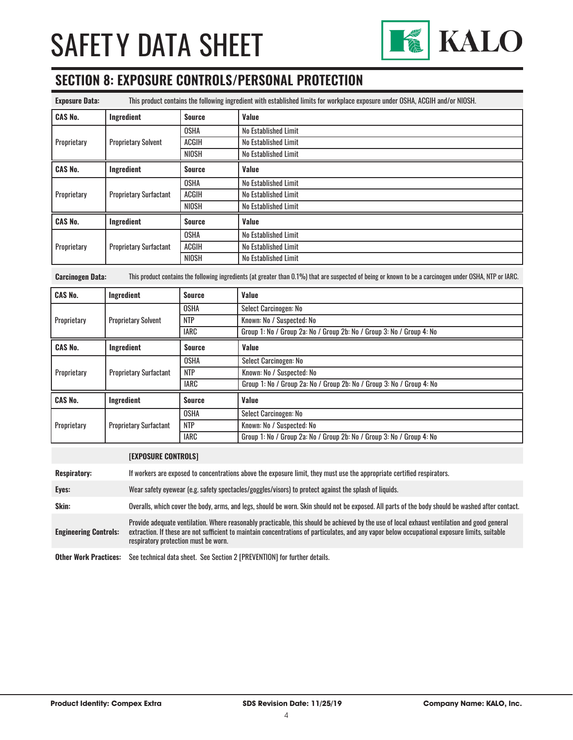

## **SECTION 8: EXPOSURE CONTROLS/PERSONAL PROTECTION**

| <b>Exposure Data:</b> | This product contains the following ingredient with established limits for workplace exposure under OSHA, ACGIH and/or NIOSH. |               |                      |
|-----------------------|-------------------------------------------------------------------------------------------------------------------------------|---------------|----------------------|
| <b>CAS No.</b>        | Ingredient                                                                                                                    | <b>Source</b> | Value                |
| Proprietary           | <b>Proprietary Solvent</b>                                                                                                    | <b>OSHA</b>   | No Established Limit |
|                       |                                                                                                                               | <b>ACGIH</b>  | No Established Limit |
|                       |                                                                                                                               | NIOSH         | No Established Limit |
| <b>CAS No.</b>        | Ingredient                                                                                                                    | <b>Source</b> | Value                |
| Proprietary           | <b>Proprietary Surfactant</b>                                                                                                 | <b>OSHA</b>   | No Established Limit |
|                       |                                                                                                                               | <b>ACGIH</b>  | No Established Limit |
|                       |                                                                                                                               | <b>NIOSH</b>  | No Established Limit |
| <b>CAS No.</b>        | Ingredient                                                                                                                    | <b>Source</b> | Value                |
| Proprietary           | <b>Proprietary Surfactant</b>                                                                                                 | <b>OSHA</b>   | No Established Limit |
|                       |                                                                                                                               | <b>ACGIH</b>  | No Established Limit |
|                       |                                                                                                                               | <b>NIOSH</b>  | No Established Limit |

**Carcinogen Data:** This product contains the following ingredients (at greater than 0.1%) that are suspected of being or known to be a carcinogen under OSHA, NTP or IARC.

| <b>CAS No.</b> | Ingredient                    | <b>Source</b> | Value                                                                 |
|----------------|-------------------------------|---------------|-----------------------------------------------------------------------|
| Proprietary    | <b>Proprietary Solvent</b>    | <b>OSHA</b>   | Select Carcinogen: No                                                 |
|                |                               | <b>NTP</b>    | Known: No / Suspected: No                                             |
|                |                               | <b>IARC</b>   | Group 1: No / Group 2a: No / Group 2b: No / Group 3: No / Group 4: No |
| <b>CAS No.</b> | Ingredient                    | <b>Source</b> | Value                                                                 |
|                | <b>Proprietary Surfactant</b> | <b>OSHA</b>   | Select Carcinogen: No                                                 |
| Proprietary    |                               | <b>NTP</b>    | Known: No / Suspected: No                                             |
|                |                               | <b>IARC</b>   | Group 1: No / Group 2a: No / Group 2b: No / Group 3: No / Group 4: No |
| <b>CAS No.</b> | Ingredient                    | Source        | <b>Value</b>                                                          |
| Proprietary    | <b>Proprietary Surfactant</b> | <b>OSHA</b>   | Select Carcinogen: No                                                 |
|                |                               | <b>NTP</b>    | Known: No / Suspected: No                                             |
|                |                               | <b>IARC</b>   | Group 1: No / Group 2a: No / Group 2b: No / Group 3: No / Group 4: No |

#### **[EXPOSURE CONTROLS]**

| <b>Respiratory:</b>          | If workers are exposed to concentrations above the exposure limit, they must use the appropriate certified respirators.                                                                                                                                                                                                                |
|------------------------------|----------------------------------------------------------------------------------------------------------------------------------------------------------------------------------------------------------------------------------------------------------------------------------------------------------------------------------------|
| Eyes:                        | Wear safety eyewear (e.g. safety spectacles/goggles/visors) to protect against the splash of liquids.                                                                                                                                                                                                                                  |
| Skin:                        | Overalls, which cover the body, arms, and legs, should be worn. Skin should not be exposed. All parts of the body should be washed after contact.                                                                                                                                                                                      |
| <b>Engineering Controls:</b> | Provide adequate ventilation. Where reasonably practicable, this should be achieved by the use of local exhaust ventilation and good general<br>extraction. If these are not sufficient to maintain concentrations of particulates, and any vapor below occupational exposure limits, suitable<br>respiratory protection must be worn. |
| <b>Ather Work Practices:</b> | See technical data sheet See Section 2 [PREVENTION] for further details                                                                                                                                                                                                                                                                |

**Other Work Practices:** See technical data sheet. See Section 2 [PREVENTION] for further details.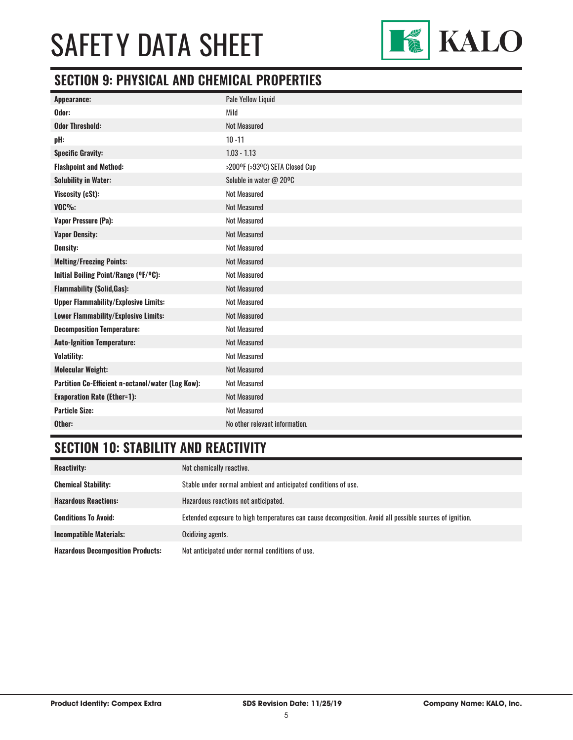

## **SECTION 9: PHYSICAL AND CHEMICAL PROPERTIES**

| Appearance:                                       | Pale Yellow Liquid             |
|---------------------------------------------------|--------------------------------|
| Odor:                                             | Mild                           |
| <b>Odor Threshold:</b>                            | <b>Not Measured</b>            |
| pH:                                               | $10 - 11$                      |
| <b>Specific Gravity:</b>                          | $1.03 - 1.13$                  |
| <b>Flashpoint and Method:</b>                     | >200°F (>93°C) SETA Closed Cup |
| <b>Solubility in Water:</b>                       | Soluble in water @ 20°C        |
| Viscosity (cSt):                                  | <b>Not Measured</b>            |
| <b>VOC%:</b>                                      | <b>Not Measured</b>            |
| Vapor Pressure (Pa):                              | <b>Not Measured</b>            |
| <b>Vapor Density:</b>                             | <b>Not Measured</b>            |
| <b>Density:</b>                                   | <b>Not Measured</b>            |
| <b>Melting/Freezing Points:</b>                   | <b>Not Measured</b>            |
| Initial Boiling Point/Range (°F/°C):              | <b>Not Measured</b>            |
| <b>Flammability (Solid, Gas):</b>                 | <b>Not Measured</b>            |
| <b>Upper Flammability/Explosive Limits:</b>       | <b>Not Measured</b>            |
| Lower Flammability/Explosive Limits:              | <b>Not Measured</b>            |
| <b>Decomposition Temperature:</b>                 | <b>Not Measured</b>            |
| <b>Auto-Ignition Temperature:</b>                 | <b>Not Measured</b>            |
| <b>Volatility:</b>                                | <b>Not Measured</b>            |
| <b>Molecular Weight:</b>                          | <b>Not Measured</b>            |
| Partition Co-Efficient n-octanol/water (Log Kow): | <b>Not Measured</b>            |
| <b>Evaporation Rate (Ether=1):</b>                | <b>Not Measured</b>            |
| <b>Particle Size:</b>                             | <b>Not Measured</b>            |
| Other:                                            | No other relevant information. |

## **SECTION 10: STABILITY AND REACTIVITY**

| <b>Reactivity:</b>                       | Not chemically reactive.                                                                                |
|------------------------------------------|---------------------------------------------------------------------------------------------------------|
| <b>Chemical Stability:</b>               | Stable under normal ambient and anticipated conditions of use.                                          |
| <b>Hazardous Reactions:</b>              | Hazardous reactions not anticipated.                                                                    |
| <b>Conditions To Avoid:</b>              | Extended exposure to high temperatures can cause decomposition. Avoid all possible sources of ignition. |
| <b>Incompatible Materials:</b>           | Oxidizing agents.                                                                                       |
| <b>Hazardous Decomposition Products:</b> | Not anticipated under normal conditions of use.                                                         |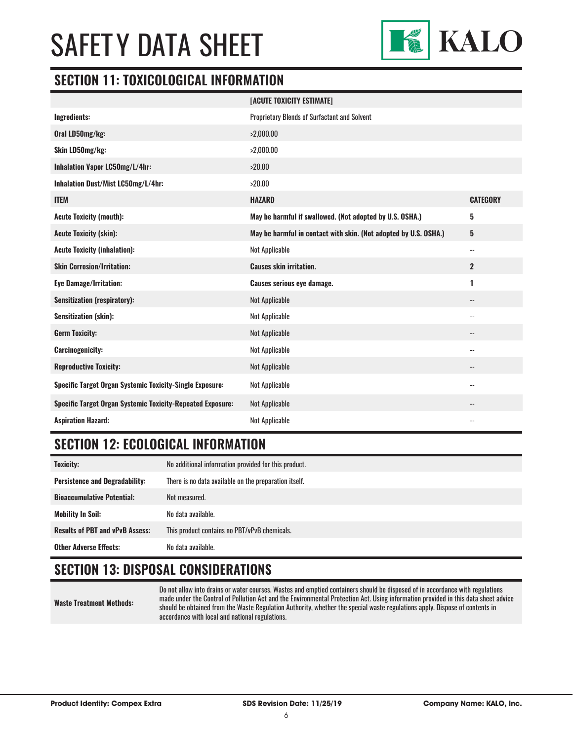

### **SECTION 11: TOXICOLOGICAL INFORMATION**

|                                                                   | [ACUTE TOXICITY ESTIMATE]                                        |                          |
|-------------------------------------------------------------------|------------------------------------------------------------------|--------------------------|
| Ingredients:                                                      | Proprietary Blends of Surfactant and Solvent                     |                          |
| Oral LD50mg/kg:                                                   | >2,000.00                                                        |                          |
| Skin LD50mg/kg:                                                   | >2,000.00                                                        |                          |
| Inhalation Vapor LC50mg/L/4hr:                                    | >20.00                                                           |                          |
| Inhalation Dust/Mist LC50mg/L/4hr:                                | >20.00                                                           |                          |
| <b>ITEM</b>                                                       | <b>HAZARD</b>                                                    | <b>CATEGORY</b>          |
| <b>Acute Toxicity (mouth):</b>                                    | May be harmful if swallowed. (Not adopted by U.S. OSHA.)         | 5                        |
| <b>Acute Toxicity (skin):</b>                                     | May be harmful in contact with skin. (Not adopted by U.S. OSHA.) | $5\phantom{.0}$          |
| <b>Acute Toxicity (inhalation):</b>                               | Not Applicable                                                   | $\overline{\phantom{a}}$ |
| <b>Skin Corrosion/Irritation:</b>                                 | <b>Causes skin irritation.</b>                                   | $\mathbf{2}$             |
| <b>Eye Damage/Irritation:</b>                                     | <b>Causes serious eye damage.</b>                                | 1                        |
| <b>Sensitization (respiratory):</b>                               | <b>Not Applicable</b>                                            |                          |
| <b>Sensitization (skin):</b>                                      | Not Applicable                                                   | $\overline{\phantom{a}}$ |
| <b>Germ Toxicity:</b>                                             | <b>Not Applicable</b>                                            | $\qquad \qquad -$        |
| <b>Carcinogenicity:</b>                                           | Not Applicable                                                   |                          |
| <b>Reproductive Toxicity:</b>                                     | <b>Not Applicable</b>                                            |                          |
| <b>Specific Target Organ Systemic Toxicity-Single Exposure:</b>   | Not Applicable                                                   | $-$                      |
| <b>Specific Target Organ Systemic Toxicity-Repeated Exposure:</b> | <b>Not Applicable</b>                                            |                          |
| <b>Aspiration Hazard:</b>                                         | <b>Not Applicable</b>                                            |                          |

### **SECTION 12: ECOLOGICAL INFORMATION**

| <b>Toxicity:</b>                       | No additional information provided for this product.  |
|----------------------------------------|-------------------------------------------------------|
| <b>Persistence and Degradability:</b>  | There is no data available on the preparation itself. |
| <b>Bioaccumulative Potential:</b>      | Not measured.                                         |
| <b>Mobility In Soil:</b>               | No data available.                                    |
| <b>Results of PBT and vPvB Assess:</b> | This product contains no PBT/vPvB chemicals.          |
| <b>Other Adverse Effects:</b>          | No data available.                                    |

## **SECTION 13: DISPOSAL CONSIDERATIONS**

**Waste Treatment Methods:**

Do not allow into drains or water courses. Wastes and emptied containers should be disposed of in accordance with regulations made under the Control of Pollution Act and the Environmental Protection Act. Using information provided in this data sheet advice should be obtained from the Waste Regulation Authority, whether the special waste regulations apply. Dispose of contents in accordance with local and national regulations.